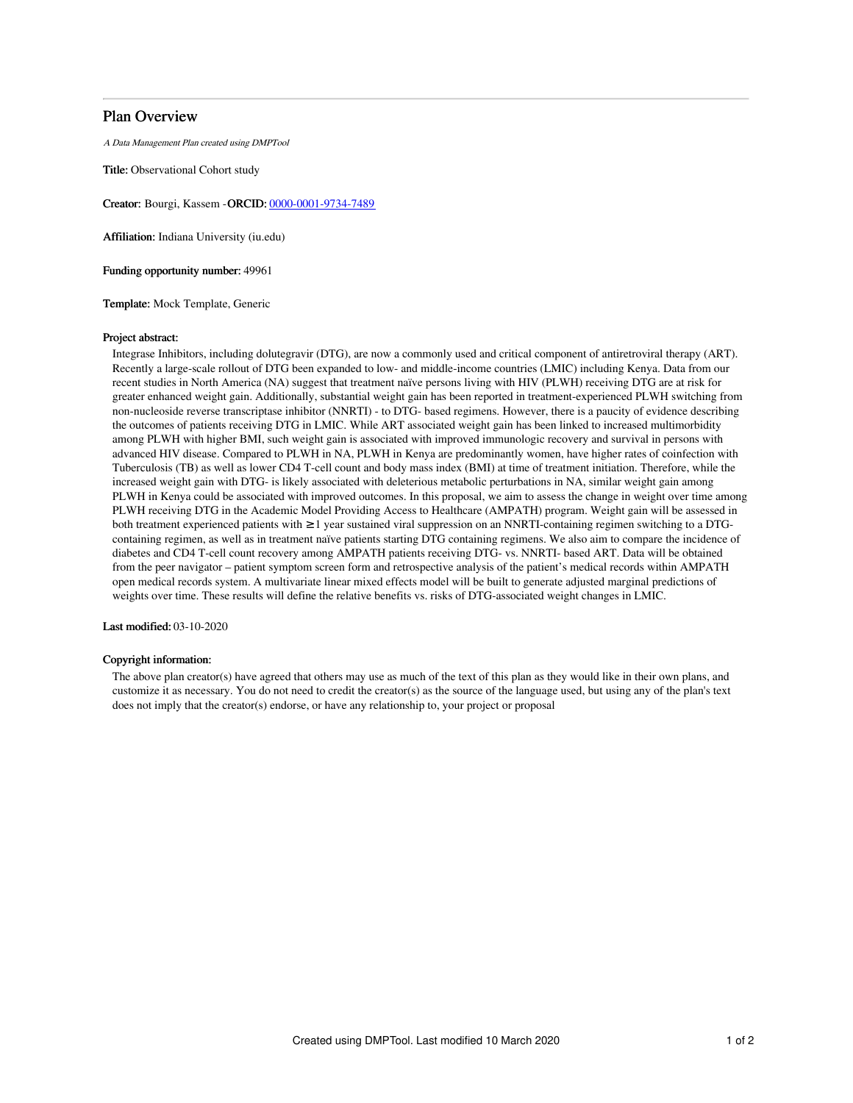# Plan Overview

A Data Management Plan created using DMPTool

Title: Observational Cohort study

Creator: Bourgi, Kassem -ORCID: [0000-0001-9734-7489](https://orcid.org/0000-0001-9734-7489)

Affiliation: Indiana University (iu.edu)

Funding opportunity number: 49961

Template: Mock Template, Generic

## Project abstract:

Integrase Inhibitors, including dolutegravir (DTG), are now a commonly used and critical component of antiretroviral therapy (ART). Recently a large-scale rollout of DTG been expanded to low- and middle-income countries (LMIC) including Kenya. Data from our recent studies in North America (NA) suggest that treatment naïve persons living with HIV (PLWH) receiving DTG are at risk for greater enhanced weight gain. Additionally, substantial weight gain has been reported in treatment-experienced PLWH switching from non-nucleoside reverse transcriptase inhibitor (NNRTI) - to DTG- based regimens. However, there is a paucity of evidence describing the outcomes of patients receiving DTG in LMIC. While ART associated weight gain has been linked to increased multimorbidity among PLWH with higher BMI, such weight gain is associated with improved immunologic recovery and survival in persons with advanced HIV disease. Compared to PLWH in NA, PLWH in Kenya are predominantly women, have higher rates of coinfection with Tuberculosis (TB) as well as lower CD4 T-cell count and body mass index (BMI) at time of treatment initiation. Therefore, while the increased weight gain with DTG- is likely associated with deleterious metabolic perturbations in NA, similar weight gain among PLWH in Kenya could be associated with improved outcomes. In this proposal, we aim to assess the change in weight over time among PLWH receiving DTG in the Academic Model Providing Access to Healthcare (AMPATH) program. Weight gain will be assessed in both treatment experienced patients with ≥1 year sustained viral suppression on an NNRTI-containing regimen switching to a DTGcontaining regimen, as well as in treatment naïve patients starting DTG containing regimens. We also aim to compare the incidence of diabetes and CD4 T-cell count recovery among AMPATH patients receiving DTG- vs. NNRTI- based ART. Data will be obtained from the peer navigator – patient symptom screen form and retrospective analysis of the patient's medical records within AMPATH open medical records system. A multivariate linear mixed effects model will be built to generate adjusted marginal predictions of weights over time. These results will define the relative benefits vs. risks of DTG-associated weight changes in LMIC.

## Last modified: 03-10-2020

### Copyright information:

The above plan creator(s) have agreed that others may use as much of the text of this plan as they would like in their own plans, and customize it as necessary. You do not need to credit the creator(s) as the source of the language used, but using any of the plan's text does not imply that the creator(s) endorse, or have any relationship to, your project or proposal